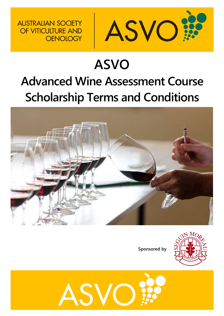

# **ASVO Advanced Wine Assessment Course Scholarship Terms and Conditions**

**AUSTRALIAN SOCIETY** 

OF VITICULTURE AND

**OENOLOGY** 



**Sponsored by**



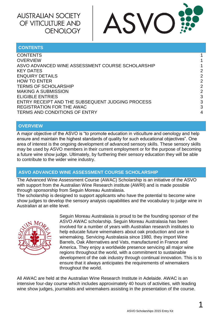

#### <span id="page-1-0"></span>**CONTENTS**

| 2             |
|---------------|
| 2             |
| $\mathcal{P}$ |
| $\mathcal{P}$ |
| 3             |
| 3             |
| 3             |
| 4             |
|               |

#### <span id="page-1-1"></span>**OVERVIEW**

A major objective of the ASVO is "to promote education in viticulture and oenology and help ensure and maintain the highest standards of quality for such educational objectives". One area of interest is the ongoing development of advanced sensory skills. These sensory skills may be used by ASVO members in their current employment or for the purpose of becoming a future wine show judge. Ultimately, by furthering their sensory education they will be able to contribute to the wider wine industry.

#### <span id="page-1-2"></span>**ASVO ADVANCED WINE ASSESSMENT COURSE SCHOLARSHIP**

The Advanced Wine Assessment Course (AWAC) Scholarship is an initiative of the ASVO with support from the Australian Wine Research institute (AWRI) and is made possible through sponsorship from Seguin Moreau Australasia.

The scholarship is designed to support applicants who have the potential to become wine show judges to develop the sensory analysis capabilities and the vocabulary to judge wine in Australian at an elite level.



Seguin Moreau Australasia is proud to be the founding sponsor of the ASVO AWAC scholarship. Seguin Moreau Australasia has been involved for a number of years with Australian research institutes to help educate future winemakers about oak production and use in winemaking. Servicing Australasia since 1980, they import Wine Barrels, Oak Alternatives and Vats, manufactured in France and America. They enjoy a worldwide presence servicing all major wine regions throughout the world, with a commitment to sustainable development of the oak industry through continual innovation. This is to ensure that it always anticipates the requirements of winemakers throughout the world.

All AWAC are held at the Australian Wine Research Institute in Adelaide. AWAC is an intensive four-day course which includes approximately 40 hours of activities, with leading wine show judges, journalists and winemakers assisting in the presentation of the course.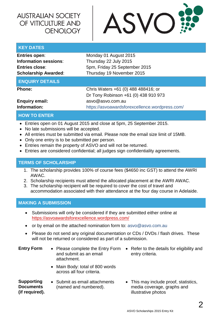

#### <span id="page-2-0"></span>**KEY DATES**

<span id="page-2-1"></span>

| <b>Entries open:</b>        | Monday 01 August 2015                          |  |  |
|-----------------------------|------------------------------------------------|--|--|
| Information sessions:       | Thursday 22 July 2015                          |  |  |
| <b>Entries close:</b>       | 5pm, Friday 25 September 2015                  |  |  |
| <b>Scholarship Awarded:</b> | Thursday 19 November 2015                      |  |  |
| <b>ENQUIRY DETAILS</b>      |                                                |  |  |
| <b>Phone:</b>               | Chris Waters +61 (0) 488 488416; or            |  |  |
|                             | Dr Tony Robinson +61 (0) 438 910 973           |  |  |
| <b>Enquiry email:</b>       | asvo@asvo.com.au                               |  |  |
| Information:                | https://asvoawardsforexcellence.wordpress.com/ |  |  |

#### <span id="page-2-2"></span>**HOW TO ENTER**

- Entries open on 01 August 2015 and close at 5pm, 25 September 2015.
- No late submissions will be accepted.
- All entries must be submitted via email. Please note the email size limit of 15MB.
- Only one entry is to be submitted per person.
- Entries remain the property of ASVO and will not be returned.
- Entries are considered confidential; all judges sign confidentiality agreements.

#### <span id="page-2-3"></span>**TERMS OF SCHOLARSHIP**

- 1. The scholarship provides 100% of course fees (\$4650 inc GST) to attend the AWRI AWAC.
- 2. Scholarship recipients must attend the allocated placement at the AWRI AWAC.
- 3. The scholarship recipient will be required to cover the cost of travel and accommodation associated with their attendance at the four day course in Adelaide.

#### <span id="page-2-4"></span>**MAKING A SUBMISSION**

- Submissions will only be considered if they are submitted either online at <https://asvoawardsforexcellence.wordpress.com/>
- or by email on the attached nomination form to: [asvo@asvo.com.au](mailto:asvo@asvo.com.au)
- Please do not send any original documentation or CDs / DVDs / flash drives. These will not be returned or considered as part of a submission.

| <b>Entry Form</b> | • Please complete the Entry Form<br>and submit as an email<br>attachment. | • Refer to the details for eligibility and<br>entry criteria. |
|-------------------|---------------------------------------------------------------------------|---------------------------------------------------------------|
|                   | • Main Body: total of 800 words<br>across all four criteria.              |                                                               |

**Supporting Documents (if required).** • Submit as email attachments (named and numbered).

• This may include proof, statistics, media coverage, graphs and illustrative photos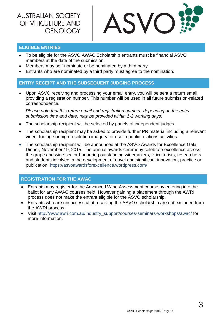

#### <span id="page-3-0"></span>**ELIGIBLE ENTRIES**

- To be eligible for the ASVO AWAC Scholarship entrants must be financial ASVO members at the date of the submission.
- Members may self-nominate or be nominated by a third party.
- Entrants who are nominated by a third party must agree to the nomination.

### <span id="page-3-1"></span>**ENTRY RECEIPT AND THE SUBSEQUENT JUDGING PROCESS**

 Upon ASVO receiving and processing your email entry, you will be sent a return email providing a registration number. This number will be used in all future submission-related correspondence.

*Please note that this return email and registration number, depending on the entry submission time and date, may be provided within 1-2 working days.*

- The scholarship recipient will be selected by panels of independent judges.
- The scholarship recipient may be asked to provide further PR material including a relevant video, footage or high resolution imagery for use in public relations activities.
- The scholarship recipient will be announced at the ASVO Awards for Excellence Gala Dinner, November 19, 2015. The annual awards ceremony celebrate excellence across the grape and wine sector honouring outstanding winemakers, viticulturists, researchers and students involved in the development of novel and significant innovation, practice or publication. <https://asvoawardsforexcellence.wordpress.com/>

#### <span id="page-3-2"></span>**REGISTRATION FOR THE AWAC**

- Entrants may register for the Advanced Wine Assessment course by entering into the ballot for any AWAC courses held. However gaining a placement through the AWRI process does not make the entrant eligible for the ASVO scholarship.
- Entrants who are unsuccessful at receiving the ASVO scholarship are not excluded from the AWRI process.
- Visit [http://www.awri.com.au/industry\\_support/courses-seminars-workshops/awac/](http://www.awri.com.au/industry_support/courses-seminars-workshops/awac/) for more information.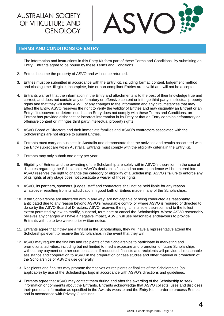

#### <span id="page-4-0"></span>**TERMS AND CONDITIONS OF ENTRY**

- 1. The information and instructions in this Entry Kit form part of these Terms and Conditions. By submitting an Entry, Entrants agree to be bound by these Terms and Conditions.
- 2. Entries become the property of ASVO and will not be returned.
- 3. Entries must be submitted in accordance with the Entry Kit, including format, content, lodgement method and closing time. Illegible, incomplete, late or non-compliant Entries are invalid and will not be accepted.
- 4. Entrants warrant that the information in the Entry and attachments is to the best of their knowledge true and correct, and does not contain any defamatory or offensive content or infringe third party intellectual property rights and that they will notify ASVO of any changes to the information and any circumstances that may affect the Entry. ASVO reserves the right to verify the validity of Entries and may disqualify an Entrant or an Entry if it discovers or determines that an Entry does not comply with these Terms and Conditions, an Entrant has provided dishonest or incorrect information in its Entry or that an Entry contains defamatory or offensive content or infringes third party intellectual property rights.
- 5. ASVO Board of Directors and their immediate families and ASVO's contractors associated with the Scholarships are not eligible to submit Entries.
- 6. Entrants must carry on business in Australia and demonstrate that the activities and results associated with the Entry subject are within Australia. Entrants must comply with the eligibility criteria in the Entry Kit.
- 7. Entrants may only submit one entry per year.
- 8. Eligibility of Entries and the awarding of the Scholarship are solely within ASVO's discretion. In the case of disputes regarding the Scholarship, ASVO's decision is final and no correspondence will be entered into. ASVO reserves the right to change the category or eligibility of a Scholarship. ASVO's failure to enforce any of its rights at any stage does not constitute a waiver of those rights.
- 9. ASVO, its partners, sponsors, judges, staff and contractors shall not be held liable for any reason whatsoever resulting from its adjudication in good faith of Entries made in any of the Scholarships.
- 10. If the Scholarships are interfered with in any way, are not capable of being conducted as reasonably anticipated due to any reason beyond ASVO's reasonable control or where ASVO is required or directed to do so by the ASVO Board of Directors, ASVO reserves the right, in its sole discretion and to the fullest extent permitted by law, to modify, suspend, terminate or cancel the Scholarships. Where ASVO reasonably believes any changes will have a negative impact, ASVO will use reasonable endeavours to provide Entrants with up to two weeks prior written notice.
- 11. Entrants agree that if they are a finalist in the Scholarships, they will have a representative attend the Scholarships event to receive the Scholarships in the event that they win.
- 12. ASVO may require the finalists and recipients of the Scholarships to participate in marketing and promotional activities, including but not limited to media exposure and promotion of future Scholarships without any payment or other compensation. If requested, finalists and recipients will provide all reasonable assistance and cooperation to ASVO in the preparation of case studies and other material or promotion of the Scholarships or ASVO's use generally.
- 13. Recipients and finalists may promote themselves as recipients or finalists of the Scholarships (as applicable) by use of the Scholarships logo in accordance with ASVO's directions and quidelines.
- 14. Entrants agree that ASVO may contact them during and after the awarding of the Scholarship to seek information or comments about the Entrants. Entrants acknowledge that ASVO collects; uses and discloses their personal information as specified in the Awards website and the Entry Kit, in order to process Entries and in accordance with Privacy Guidelines.